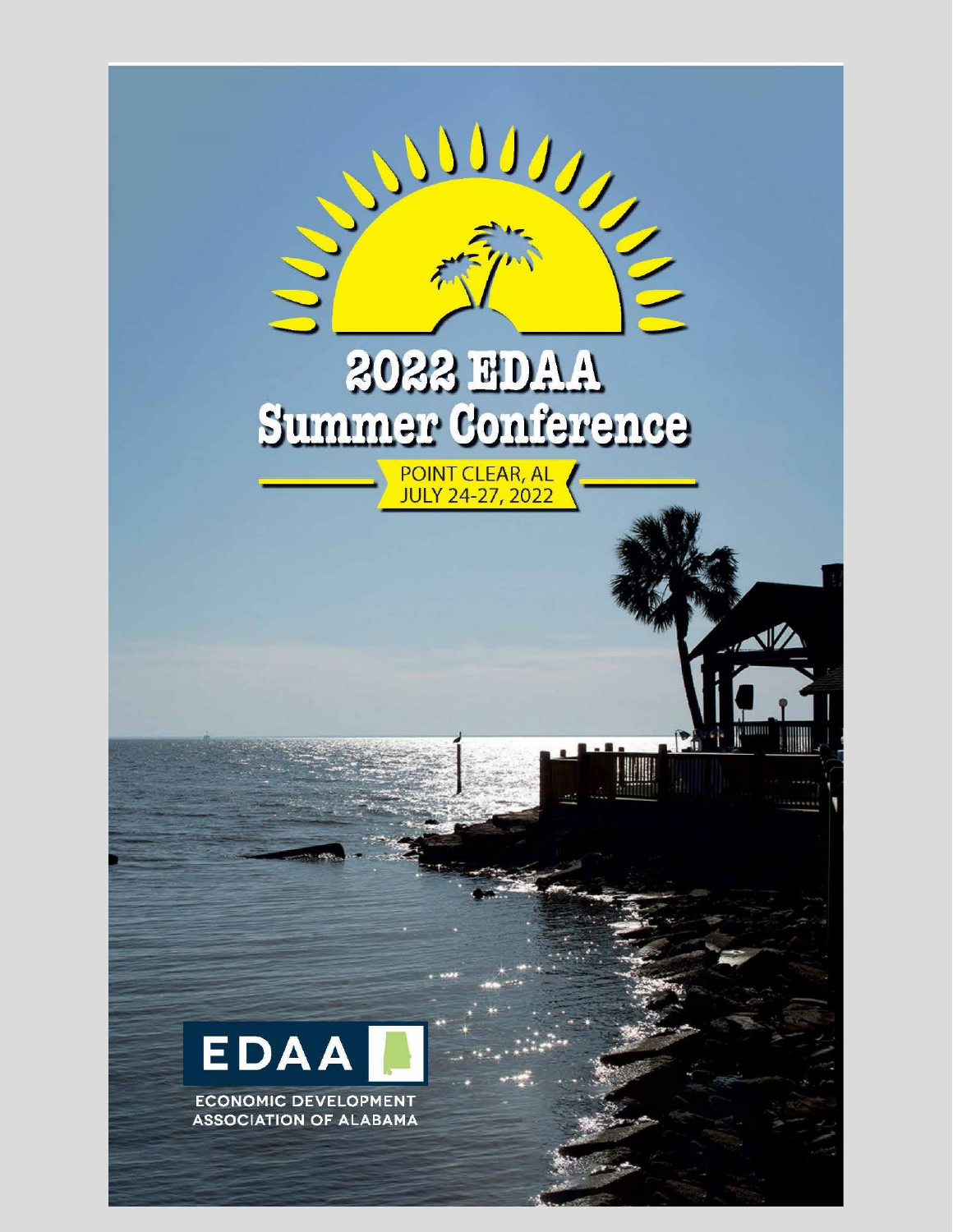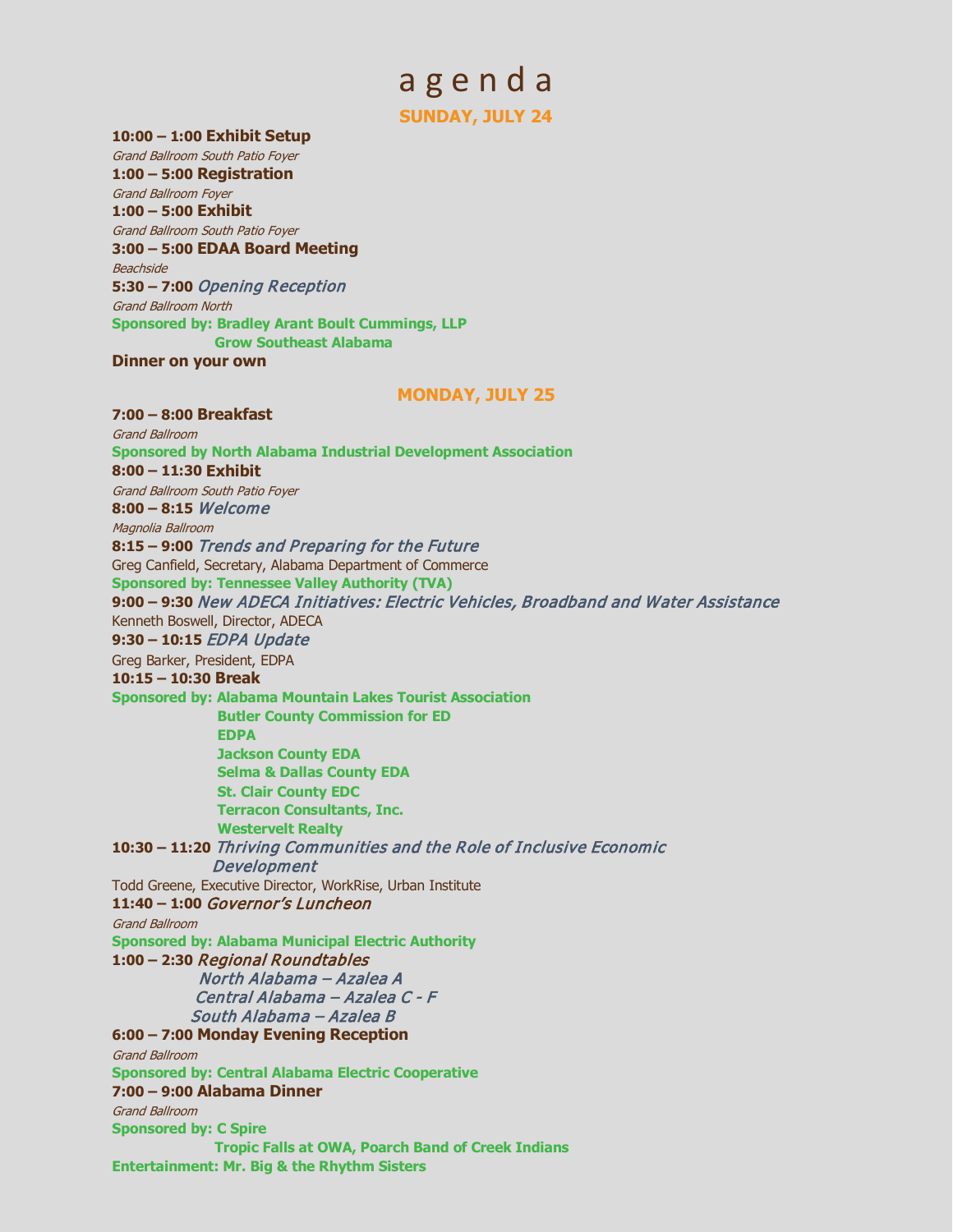# a g e n d a **SUNDAY, JULY 24**

**10:00 – 1:00 Exhibit Setup** 

Grand Ballroom South Patio Foyer **1:00 – 5:00 Registration**  Grand Ballroom Foyer **1:00 – 5:00 Exhibit**  Grand Ballroom South Patio Foyer **3:00 – 5:00 EDAA Board Meeting**  Beachside **5:30 – 7:00** Opening Reception Grand Ballroom North **Sponsored by: Bradley Arant Boult Cummings, LLP Grow Southeast Alabama**

**Dinner on your own**

### **MONDAY, JULY 25**

**7:00 – 8:00 Breakfast**  Grand Ballroom **Sponsored by North Alabama Industrial Development Association 8:00 – 11:30 Exhibit**  Grand Ballroom South Patio Foyer **8:00 – 8:15** Welcome Magnolia Ballroom **8:15 – 9:00** Trends and Preparing for the Future Greg Canfield, Secretary, Alabama Department of Commerce **Sponsored by: Tennessee Valley Authority (TVA) 9:00 – 9:30** New ADECA Initiatives: Electric Vehicles, Broadband and Water Assistance Kenneth Boswell, Director, ADECA **9:30 – 10:15** EDPA Update Greg Barker, President, EDPA **10:15 – 10:30 Break Sponsored by: Alabama Mountain Lakes Tourist Association Butler County Commission for ED EDPA Jackson County EDA Selma & Dallas County EDA St. Clair County EDC Terracon Consultants, Inc. Westervelt Realty 10:30 – 11:20** Thriving Communities and the Role of Inclusive Economic Development Todd Greene, Executive Director, WorkRise, Urban Institute **11:40 – 1:00** Governor's Luncheon Grand Ballroom **Sponsored by: Alabama Municipal Electric Authority 1:00 – 2:30** Regional Roundtables North Alabama – Azalea A Central Alabama – Azalea C - F South Alabama – Azalea B **6:00 – 7:00 Monday Evening Reception**  Grand Ballroom **Sponsored by: Central Alabama Electric Cooperative 7:00 – 9:00 Alabama Dinner**  Grand Ballroom **Sponsored by: C Spire Tropic Falls at OWA, Poarch Band of Creek Indians Entertainment: Mr. Big & the Rhythm Sisters**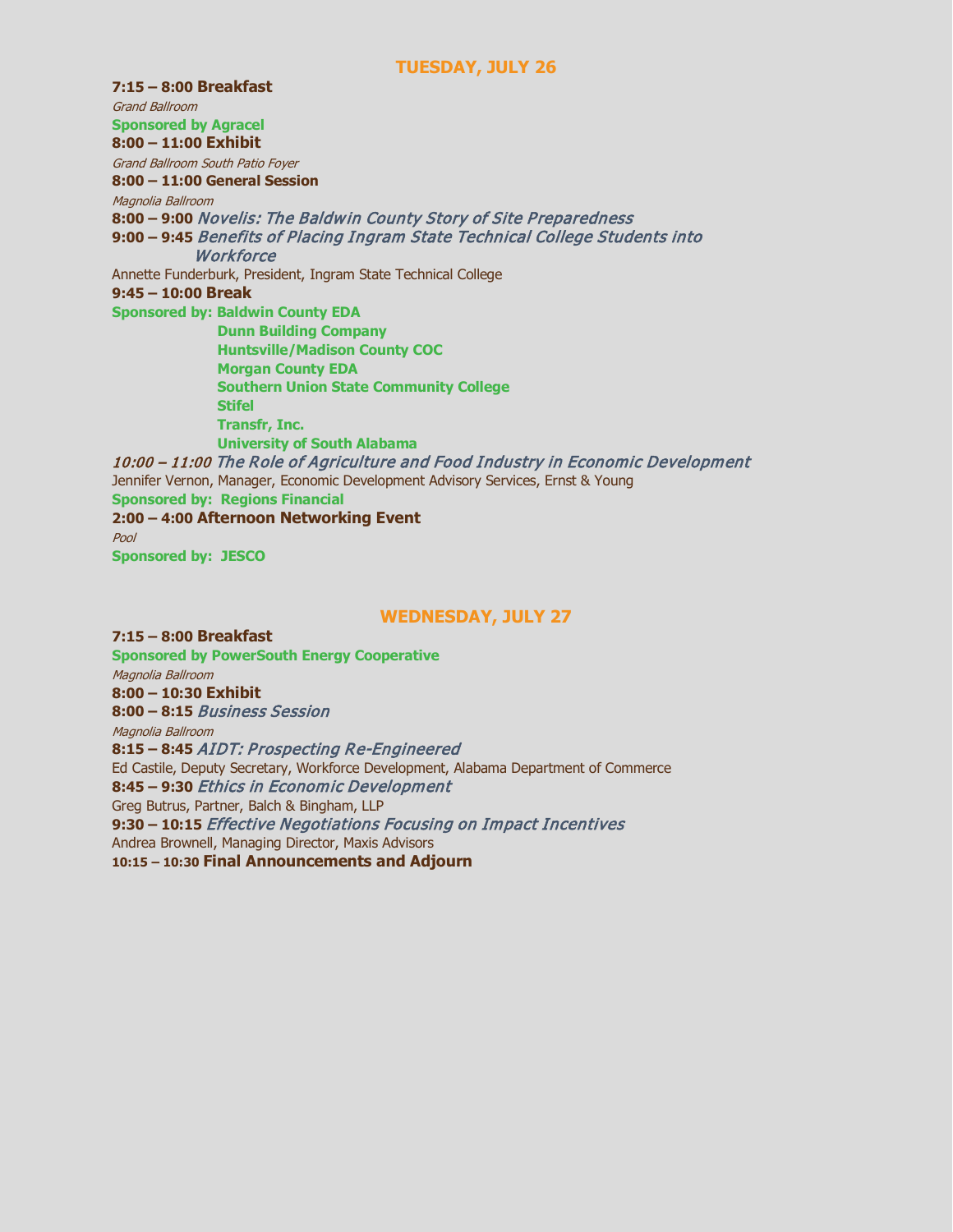### **TUESDAY, JULY 26**

**7:15 – 8:00 Breakfast**  Grand Ballroom **Sponsored by Agracel 8:00 – 11:00 Exhibit**  Grand Ballroom South Patio Foyer **8:00 – 11:00 General Session** Magnolia Ballroom **8:00 – 9:00** Novelis: The Baldwin County Story of Site Preparedness **9:00 – 9:45** Benefits of Placing Ingram State Technical College Students into **Workforce** Annette Funderburk, President, Ingram State Technical College **9:45 – 10:00 Break Sponsored by: Baldwin County EDA Dunn Building Company Huntsville/Madison County COC Morgan County EDA Southern Union State Community College Stifel Transfr, Inc. University of South Alabama** 10:00 – 11:00 The Role of Agriculture and Food Industry in Economic Development Jennifer Vernon, Manager, Economic Development Advisory Services, Ernst & Young **Sponsored by: Regions Financial 2:00 – 4:00 Afternoon Networking Event**  Pool **Sponsored by: JESCO**

### **WEDNESDAY, JULY 27**

**7:15 – 8:00 Breakfast Sponsored by PowerSouth Energy Cooperative** Magnolia Ballroom **8:00 – 10:30 Exhibit 8:00 – 8:15** Business Session Magnolia Ballroom **8:15 – 8:45** AIDT: Prospecting Re-Engineered Ed Castile, Deputy Secretary, Workforce Development, Alabama Department of Commerce **8:45 – 9:30** Ethics in Economic Development Greg Butrus, Partner, Balch & Bingham, LLP **9:30 – 10:15** Effective Negotiations Focusing on Impact Incentives Andrea Brownell, Managing Director, Maxis Advisors **10:15 – 10:30 Final Announcements and Adjourn**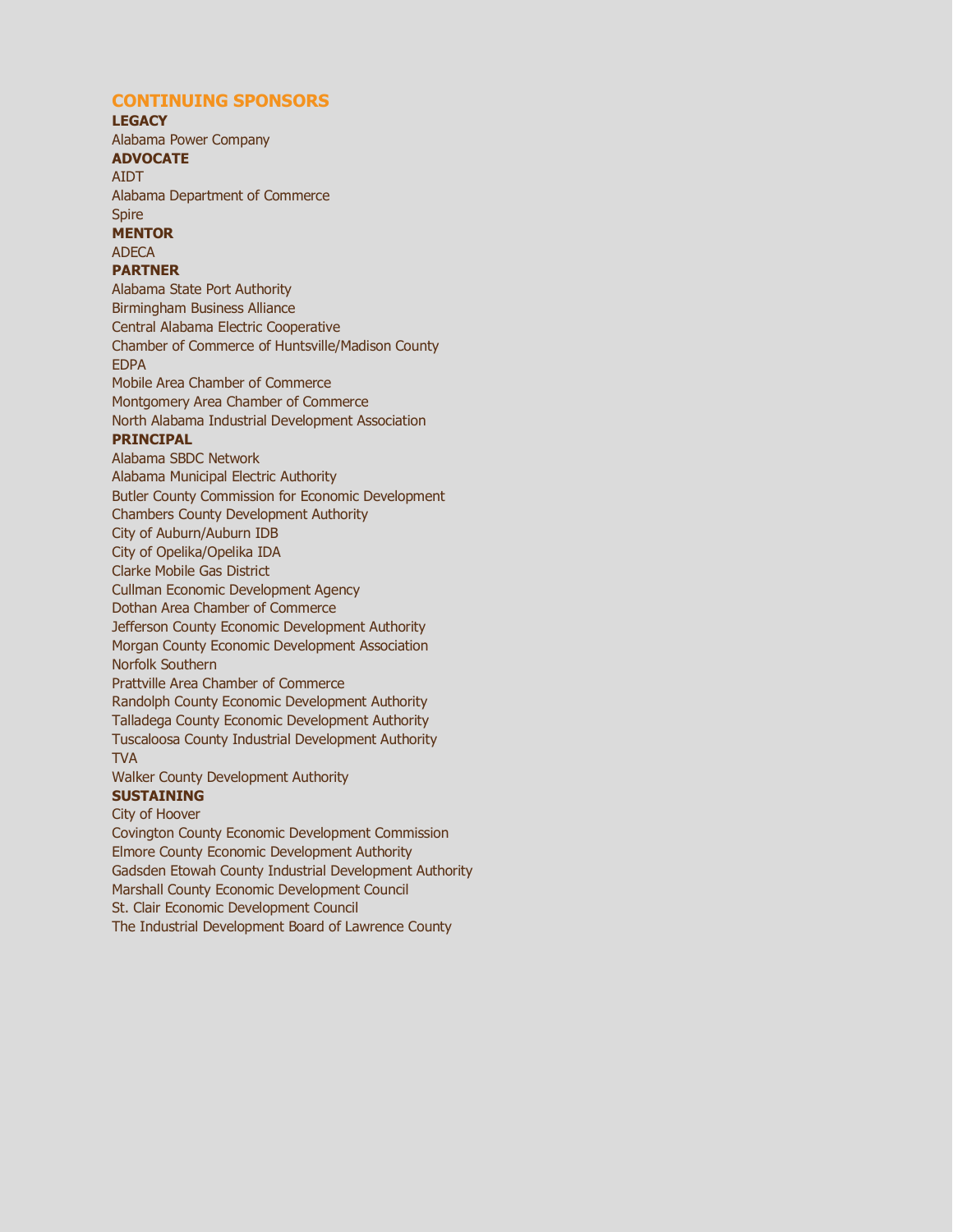### **CONTINUING SPONSORS**

#### **LEGACY**

Alabama Power Company **ADVOCATE** 

# AIDT

Alabama Department of Commerce Spire

# **MENTOR**

ADECA

### **PARTNER**

Alabama State Port Authority Birmingham Business Alliance Central Alabama Electric Cooperative Chamber of Commerce of Huntsville/Madison County EDPA Mobile Area Chamber of Commerce Montgomery Area Chamber of Commerce North Alabama Industrial Development Association **PRINCIPAL**  Alabama SBDC Network Alabama Municipal Electric Authority Butler County Commission for Economic Development Chambers County Development Authority City of Auburn/Auburn IDB City of Opelika/Opelika IDA Clarke Mobile Gas District Cullman Economic Development Agency Dothan Area Chamber of Commerce Jefferson County Economic Development Authority Morgan County Economic Development Association Norfolk Southern Prattville Area Chamber of Commerce Randolph County Economic Development Authority Talladega County Economic Development Authority Tuscaloosa County Industrial Development Authority TVA Walker County Development Authority **SUSTAINING**  City of Hoover

Covington County Economic Development Commission Elmore County Economic Development Authority Gadsden Etowah County Industrial Development Authority Marshall County Economic Development Council St. Clair Economic Development Council The Industrial Development Board of Lawrence County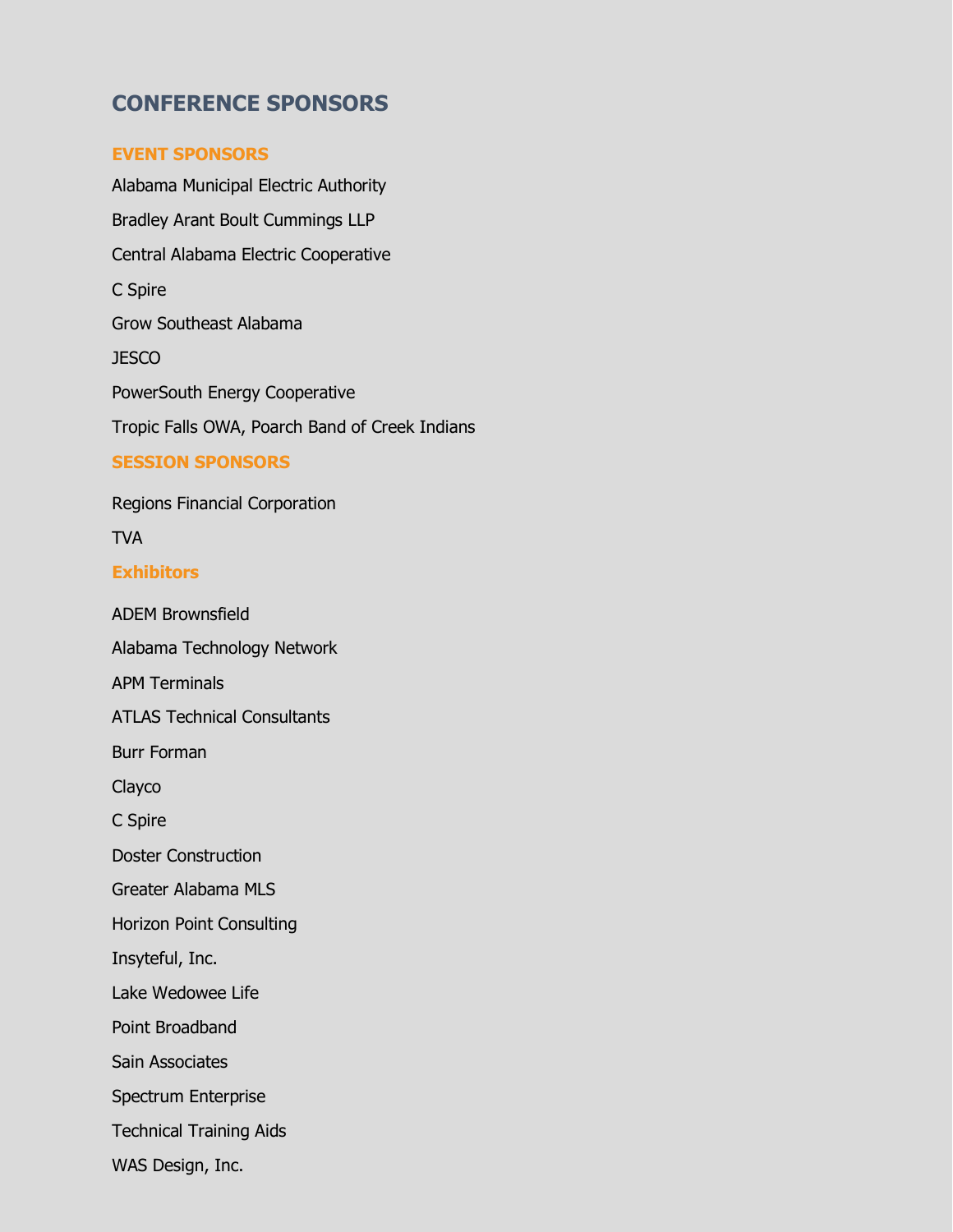# **CONFERENCE SPONSORS**

# **EVENT SPONSORS**

Alabama Municipal Electric Authority Bradley Arant Boult Cummings LLP Central Alabama Electric Cooperative C Spire Grow Southeast Alabama JESCO PowerSouth Energy Cooperative Tropic Falls OWA, Poarch Band of Creek Indians **SESSION SPONSORS** 

Regions Financial Corporation

TVA

### **Exhibitors**

ADEM Brownsfield Alabama Technology Network APM Terminals ATLAS Technical Consultants Burr Forman Clayco C Spire Doster Construction Greater Alabama MLS Horizon Point Consulting Insyteful, Inc. Lake Wedowee Life Point Broadband Sain Associates Spectrum Enterprise Technical Training Aids WAS Design, Inc.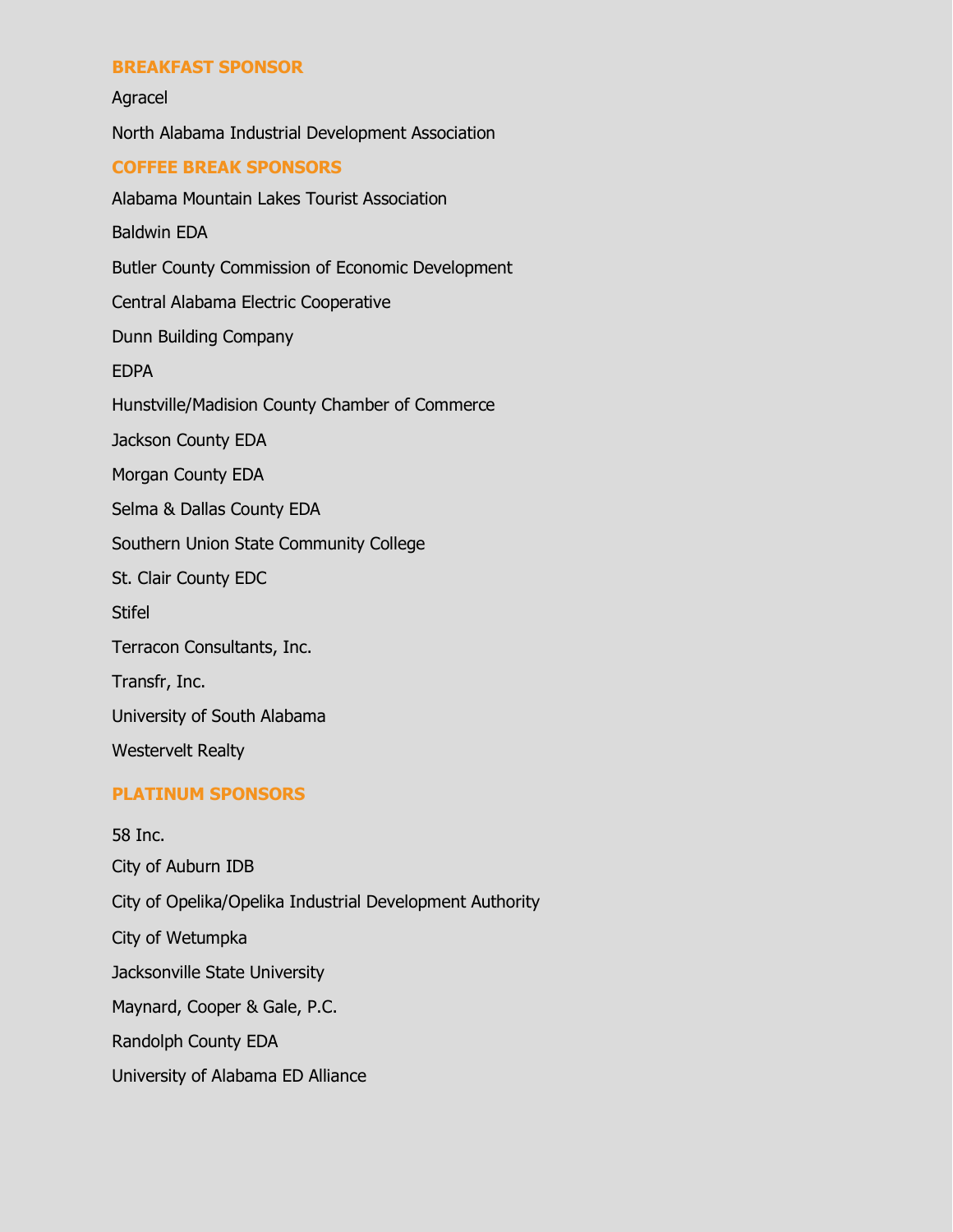### **BREAKFAST SPONSOR**

Agracel North Alabama Industrial Development Association **COFFEE BREAK SPONSORS**  Alabama Mountain Lakes Tourist Association Baldwin EDA Butler County Commission of Economic Development Central Alabama Electric Cooperative Dunn Building Company EDPA Hunstville/Madision County Chamber of Commerce Jackson County EDA Morgan County EDA Selma & Dallas County EDA Southern Union State Community College St. Clair County EDC **Stifel** Terracon Consultants, Inc. Transfr, Inc. University of South Alabama Westervelt Realty

### **PLATINUM SPONSORS**

58 Inc. City of Auburn IDB City of Opelika/Opelika Industrial Development Authority City of Wetumpka Jacksonville State University Maynard, Cooper & Gale, P.C. Randolph County EDA

University of Alabama ED Alliance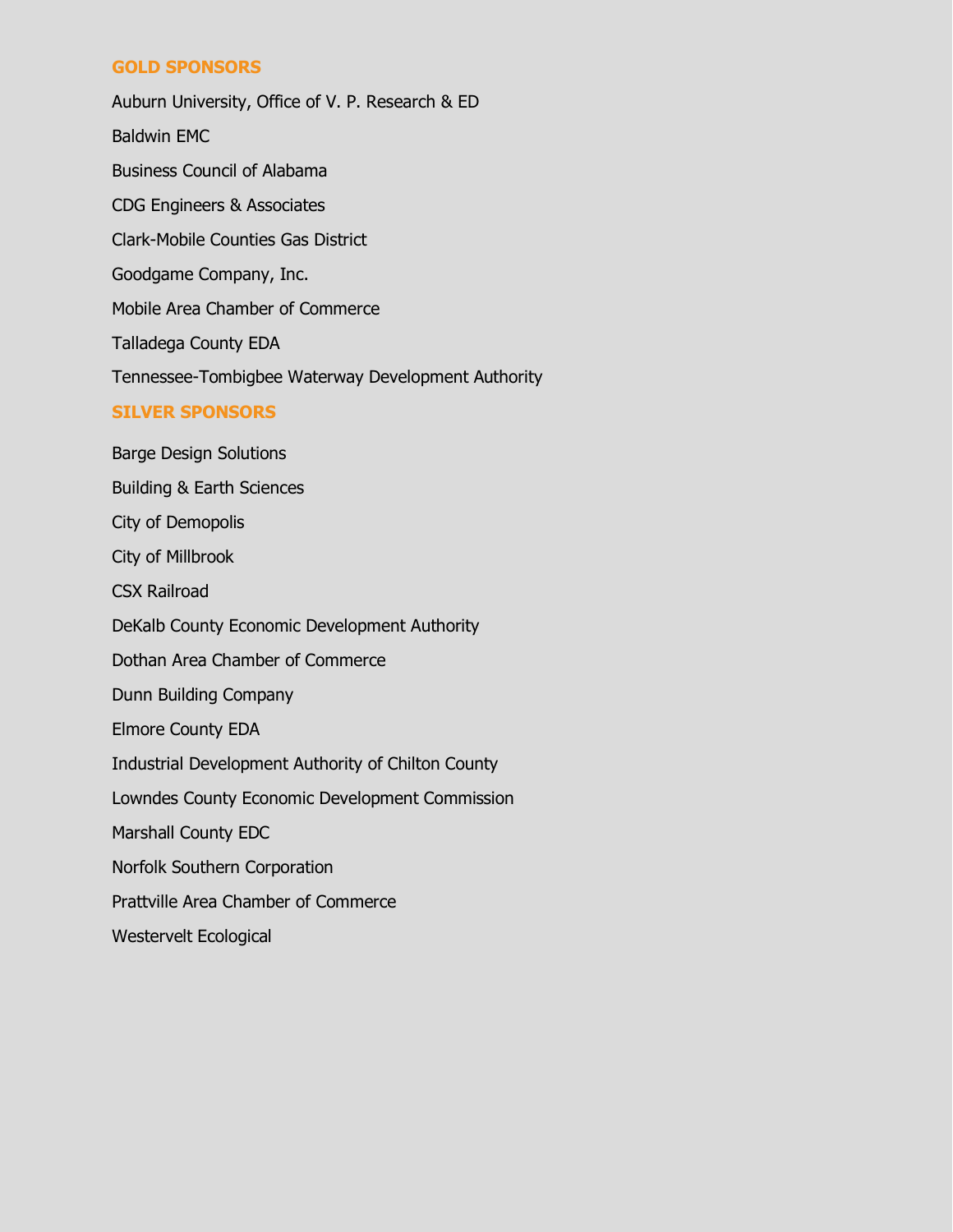# **GOLD SPONSORS**

Auburn University, Office of V. P. Research & ED Baldwin EMC Business Council of Alabama CDG Engineers & Associates Clark-Mobile Counties Gas District Goodgame Company, Inc. Mobile Area Chamber of Commerce Talladega County EDA Tennessee-Tombigbee Waterway Development Authority **SILVER SPONSORS**  Barge Design Solutions

Building & Earth Sciences City of Demopolis City of Millbrook CSX Railroad DeKalb County Economic Development Authority Dothan Area Chamber of Commerce Dunn Building Company Elmore County EDA Industrial Development Authority of Chilton County Lowndes County Economic Development Commission Marshall County EDC Norfolk Southern Corporation Prattville Area Chamber of Commerce

Westervelt Ecological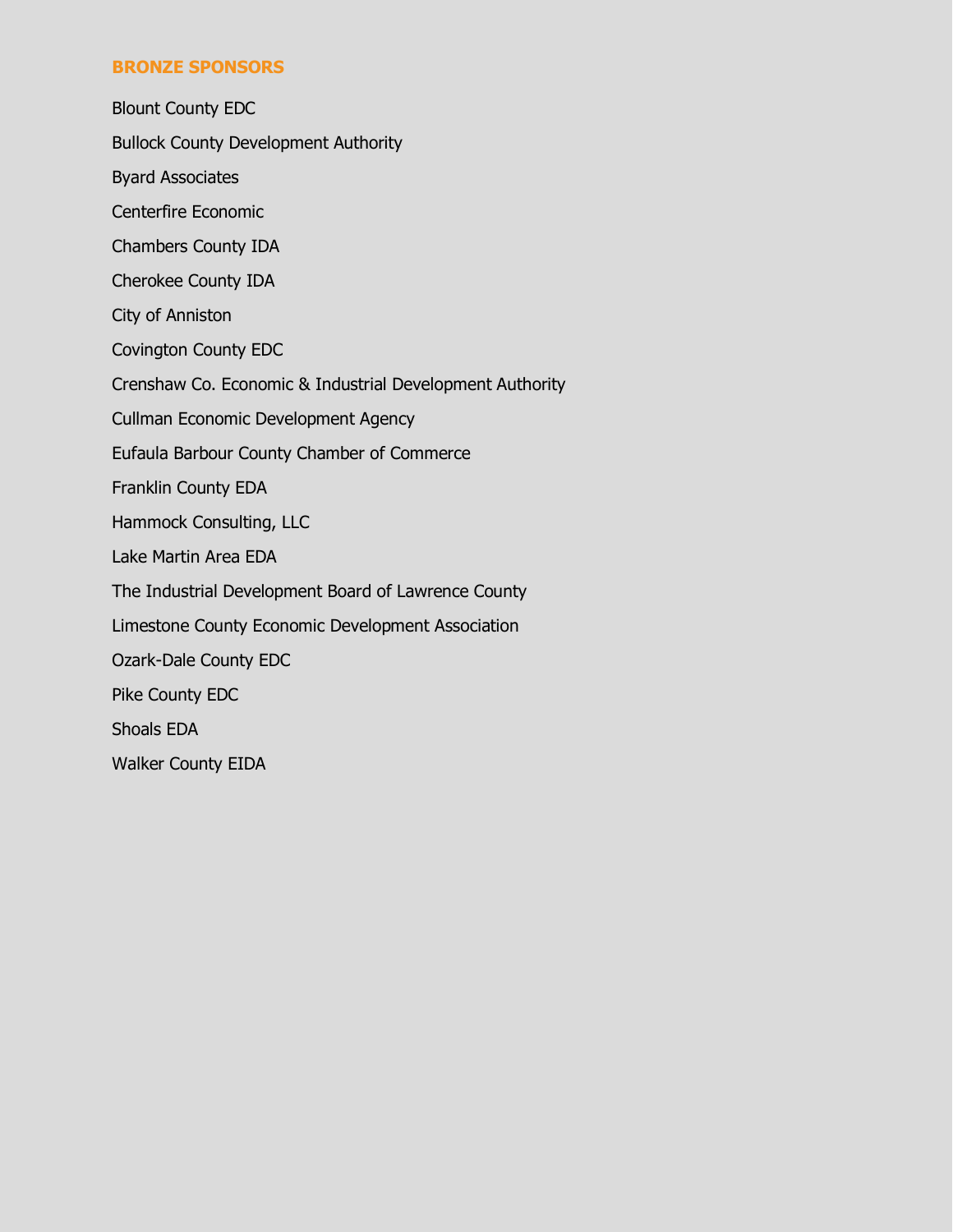# **BRONZE SPONSORS**

Blount County EDC Bullock County Development Authority Byard Associates Centerfire Economic Chambers County IDA Cherokee County IDA City of Anniston Covington County EDC Crenshaw Co. Economic & Industrial Development Authority Cullman Economic Development Agency Eufaula Barbour County Chamber of Commerce Franklin County EDA Hammock Consulting, LLC Lake Martin Area EDA The Industrial Development Board of Lawrence County Limestone County Economic Development Association Ozark-Dale County EDC Pike County EDC Shoals EDA Walker County EIDA